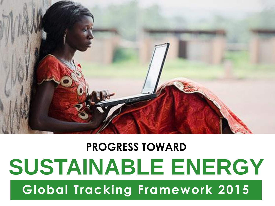

### ŗ **Global Tracking Framework 2015PROGRESS TOWARD SUSTAINABLE ENERGY**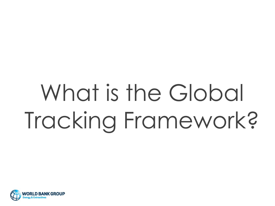# What is the Global Tracking Framework?

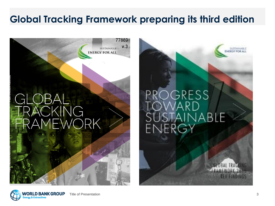### **Global Tracking Framework preparing its third edition**



### OGRESS JABLE E F K



**SUSTAINABL INERGY FOR A**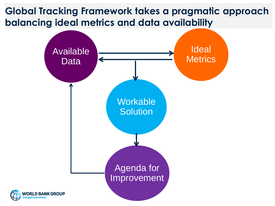### **Global Tracking Framework takes a pragmatic approach balancing ideal metrics and data availability**

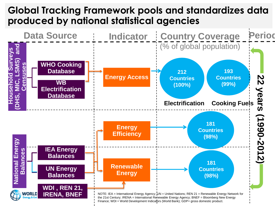### **Global Tracking Framework pools and standardizes data produced by national statistical agencies**

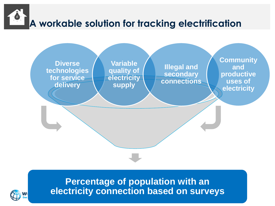



#### **Percentage of population with an electricity connection based on surveys**

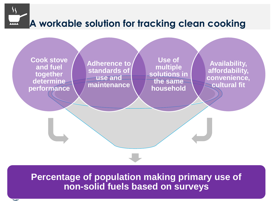## **A workable solution for tracking clean cooking**

**Cook stove and fuel together determine performance**

**Adherence to standards of use and maintenance**

**Use of multiple solutions in the same household**

**Availability, affordability, convenience, cultural fit**

**Percentage of population making primary use of non-solid fuels based on surveys**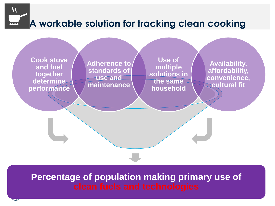## **A workable solution for tracking clean cooking**

**Cook stove and fuel together determine performance**

**Adherence to standards of use and maintenance**

**Use of multiple solutions in the same household**

**Availability, affordability, convenience, cultural fit**

## **Percentage of population making primary use of**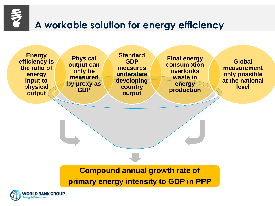

### **A workable solution for energy efficiency**

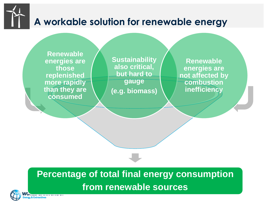## **A workable solution for renewable energy**

**Renewable energies are those replenished more rapidly than they are consumed**

**Sustainability also critical, but hard to gauge (e.g. biomass)**

**Renewable energies are not affected by combustion inefficiency** 

### **Percentage of total final energy consumption from renewable sources**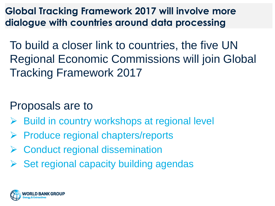**Global Tracking Framework 2017 will involve more dialogue with countries around data processing**

To build a closer link to countries, the five UN Regional Economic Commissions will join Global Tracking Framework 2017

### Proposals are to

- Build in country workshops at regional level
- $\triangleright$  Produce regional chapters/reports
- **▶ Conduct regional dissemination**
- $\triangleright$  Set regional capacity building agendas

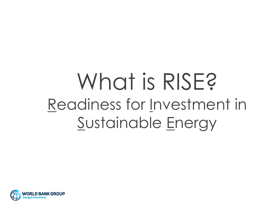## What is RISE? Readiness for Investment in Sustainable Energy

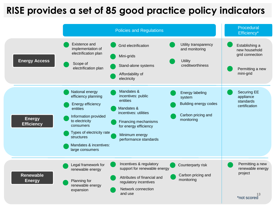### **RISE provides a set of 85 good practice policy indicators**

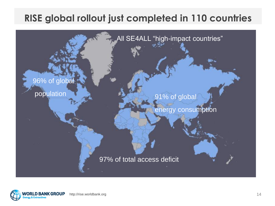### **RISE global rollout just completed in 110 countries**



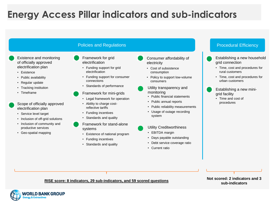### **Energy Access Pillar indicators and sub-indicators**

|                                                                                                                                             | <b>Policies and Regulations</b>                                                                                                                                                     |                                                                                                                                                                                               | <b>Procedural Efficiency</b>                                                                                                             |
|---------------------------------------------------------------------------------------------------------------------------------------------|-------------------------------------------------------------------------------------------------------------------------------------------------------------------------------------|-----------------------------------------------------------------------------------------------------------------------------------------------------------------------------------------------|------------------------------------------------------------------------------------------------------------------------------------------|
| Existence and monitoring<br>of officially approved<br>electrification plan<br>• Existence<br>• Public availability                          | Framework for grid<br>electrification<br>• Funding support for grid<br>electrification<br>Funding support for consumer                                                              | Consumer affordability of<br>electricity<br>• Cost of subsistence<br>consumption<br>• Policy to support low-volume                                                                            | Establishing a new household<br>grid connection<br>• Time, cost and procedures for<br>rural customers<br>• Time, cost and procedures for |
| • Regular update<br>• Tracking institution<br>• Timeframe<br>Scope of officially approved<br>electrification plan<br>• Service level target | connections<br>• Standards of performance<br>Framework for mini-grids<br>• Legal framework for operation<br>• Ability to charge cost-<br>reflective tariffs<br>• Funding incentives | consumers<br>Utility transparency and<br>monitoring<br>• Public financial statements<br>• Public annual reports<br>• Public reliability measurements<br>• Usage of outage recording<br>system | urban customers<br>Establishing a new mini-<br>grid facility<br>Time and cost of<br>procedures                                           |
| • Inclusion of off-grid solutions<br>• Inclusion of community and<br>productive services<br>• Geo-spatial mapping                           | • Standards and quality<br>Framework for stand-alone<br>systems<br>• Existence of national program<br><b>Funding incentives</b><br>Standards and quality                            | <b>Utility Creditworthiness</b><br>• EBITDA margin<br>• Days payable outstanding<br>• Debt service coverage ratio<br>• Current ratio                                                          |                                                                                                                                          |

#### **RISE score: 8 indicators, 29 sub-indicators, and 59 scored questions Not scored: 2 indicators and 3**

**sub-indicators**

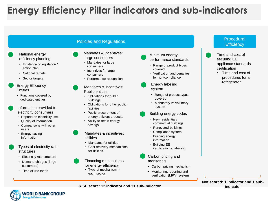### **Energy Efficiency Pillar indicators and sub-indicators**

|                                                                                                                                                                                                                                                                                                                       | <b>Policies and Regulations</b>                                                                                                                                                                                                                                                                                                                                   |                                                                                                                                                                                                                                                                                                            | Procedural<br><b>Efficiency</b>                                                                                                   |
|-----------------------------------------------------------------------------------------------------------------------------------------------------------------------------------------------------------------------------------------------------------------------------------------------------------------------|-------------------------------------------------------------------------------------------------------------------------------------------------------------------------------------------------------------------------------------------------------------------------------------------------------------------------------------------------------------------|------------------------------------------------------------------------------------------------------------------------------------------------------------------------------------------------------------------------------------------------------------------------------------------------------------|-----------------------------------------------------------------------------------------------------------------------------------|
| National energy<br>efficiency planning<br>• Existence of legislation /<br>action plan<br>• National targets<br>• Sector targets                                                                                                                                                                                       | Mandates & incentives:<br>Large consumers<br>• Mandates for large<br>consumers<br>• Incentives for large<br>consumers<br>• Performance recognition                                                                                                                                                                                                                | Minimum energy<br>performance standards<br>• Range of product types<br>covered<br>• Verification and penalties<br>for non-compliance                                                                                                                                                                       | Time and cost of<br>securing EE<br>appliance standards<br>certification<br>• Time and cost of<br>procedures for a<br>refrigerator |
| <b>Energy Efficiency</b><br><b>Entities</b><br>• Functions covered by<br>dedicated entities<br>Information provided to<br>electricity consumers<br>Reports on electricity use<br>Quality of information<br>Comparisons with other<br>users<br>Energy saving<br>information<br>Types of electricity rate<br>structures | Mandates & incentives:<br><b>Public entities</b><br>• Obligations for public<br>buildings<br>Obligations for other public<br>facilities<br>• Public procurement of<br>energy efficient products<br>• Ability to retain energy<br>savings<br>Mandates & incentives:<br><b>Utilities</b><br>• Mandates for utilities<br>• Cost recovery mechanisms<br>for utilities | Energy labeling<br>system<br>Range of product types<br>covered<br>Mandatory vs voluntary<br>system<br>Building energy codes<br>• New residential /<br>commercial buildings<br>• Renovated buildings<br>• Compliance system<br>Building energy<br>information<br>• Building EE<br>certification & labelling |                                                                                                                                   |
| • Electricity rate structure<br>• Demand charges (large<br>customers)<br>• Time of use tariffs                                                                                                                                                                                                                        | Financing mechanisms<br>for energy efficiency<br>Type of mechanism in<br>each sector                                                                                                                                                                                                                                                                              | Carbon pricing and<br>monitoring<br>Carbon pricing mechanism<br>Monitoring, reporting and<br>verification (MRV) system                                                                                                                                                                                     |                                                                                                                                   |

**Not scored: 1 indicator and 1 subindicator**

**RISE score: 12 indicator and 31 sub-indicator**

16

**LD BANK GROUP** 

& Extractive